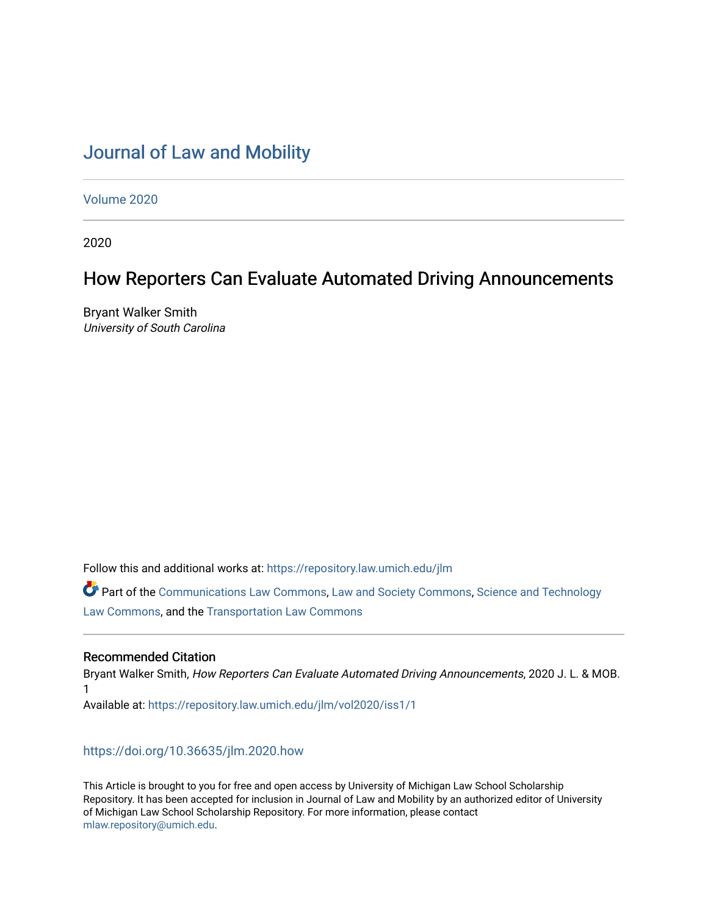# [Journal of Law and Mobility](https://repository.law.umich.edu/jlm)

[Volume 2020](https://repository.law.umich.edu/jlm/vol2020) 

2020

# How Reporters Can Evaluate Automated Driving Announcements

Bryant Walker Smith University of South Carolina

Follow this and additional works at: [https://repository.law.umich.edu/jlm](https://repository.law.umich.edu/jlm?utm_source=repository.law.umich.edu%2Fjlm%2Fvol2020%2Fiss1%2F1&utm_medium=PDF&utm_campaign=PDFCoverPages) 

Part of the [Communications Law Commons,](http://network.bepress.com/hgg/discipline/587?utm_source=repository.law.umich.edu%2Fjlm%2Fvol2020%2Fiss1%2F1&utm_medium=PDF&utm_campaign=PDFCoverPages) [Law and Society Commons](http://network.bepress.com/hgg/discipline/853?utm_source=repository.law.umich.edu%2Fjlm%2Fvol2020%2Fiss1%2F1&utm_medium=PDF&utm_campaign=PDFCoverPages), [Science and Technology](http://network.bepress.com/hgg/discipline/875?utm_source=repository.law.umich.edu%2Fjlm%2Fvol2020%2Fiss1%2F1&utm_medium=PDF&utm_campaign=PDFCoverPages) [Law Commons,](http://network.bepress.com/hgg/discipline/875?utm_source=repository.law.umich.edu%2Fjlm%2Fvol2020%2Fiss1%2F1&utm_medium=PDF&utm_campaign=PDFCoverPages) and the [Transportation Law Commons](http://network.bepress.com/hgg/discipline/885?utm_source=repository.law.umich.edu%2Fjlm%2Fvol2020%2Fiss1%2F1&utm_medium=PDF&utm_campaign=PDFCoverPages) 

## Recommended Citation

Bryant Walker Smith, How Reporters Can Evaluate Automated Driving Announcements, 2020 J. L. & MOB. 1 Available at: [https://repository.law.umich.edu/jlm/vol2020/iss1/1](https://repository.law.umich.edu/jlm/vol2020/iss1/1?utm_source=repository.law.umich.edu%2Fjlm%2Fvol2020%2Fiss1%2F1&utm_medium=PDF&utm_campaign=PDFCoverPages) 

<https://doi.org/10.36635/jlm.2020.how>

This Article is brought to you for free and open access by University of Michigan Law School Scholarship Repository. It has been accepted for inclusion in Journal of Law and Mobility by an authorized editor of University of Michigan Law School Scholarship Repository. For more information, please contact [mlaw.repository@umich.edu.](mailto:mlaw.repository@umich.edu)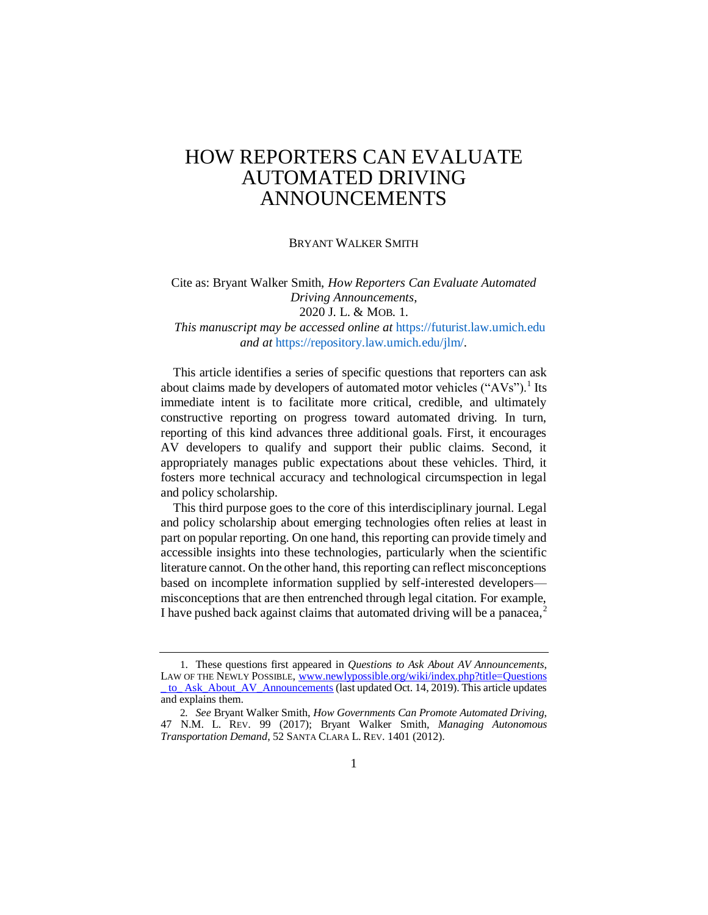#### BRYANT WALKER SMITH

# Cite as: Bryant Walker Smith, *How Reporters Can Evaluate Automated Driving Announcements*, 2020 J. L. & MOB. 1. *This manuscript may be accessed online at* https://futurist.law.umich.edu

*and at* https://repository.law.umich.edu/jlm/*.*

This article identifies a series of specific questions that reporters can ask about claims made by developers of automated motor vehicles ("AVs").<sup>1</sup> Its immediate intent is to facilitate more critical, credible, and ultimately constructive reporting on progress toward automated driving. In turn, reporting of this kind advances three additional goals. First, it encourages AV developers to qualify and support their public claims. Second, it appropriately manages public expectations about these vehicles. Third, it fosters more technical accuracy and technological circumspection in legal and policy scholarship.

This third purpose goes to the core of this interdisciplinary journal. Legal and policy scholarship about emerging technologies often relies at least in part on popular reporting. On one hand, this reporting can provide timely and accessible insights into these technologies, particularly when the scientific literature cannot. On the other hand, this reporting can reflect misconceptions based on incomplete information supplied by self-interested developers misconceptions that are then entrenched through legal citation. For example, I have pushed back against claims that automated driving will be a panacea,<sup>2</sup>

<sup>1</sup>. These questions first appeared in *Questions to Ask About AV Announcements*, LAW OF THE NEWLY POSSIBLE, www.newlypossible.org/wiki/index.php?title=Questions [\\_ to\\_ Ask\\_About\\_AV\\_Announcements](http://www.newlypossible.org/wiki/index.php?title=Questions_to_Ask_About_AV_Announcements) (last updated Oct. 14, 2019). This article updates and explains them.

<sup>2</sup>*. See* Bryant Walker Smith, *How Governments Can Promote Automated Driving*, 47 N.M. L. REV. 99 (2017); Bryant Walker Smith, *Managing Autonomous Transportation Demand*, 52 SANTA CLARA L. REV. 1401 (2012).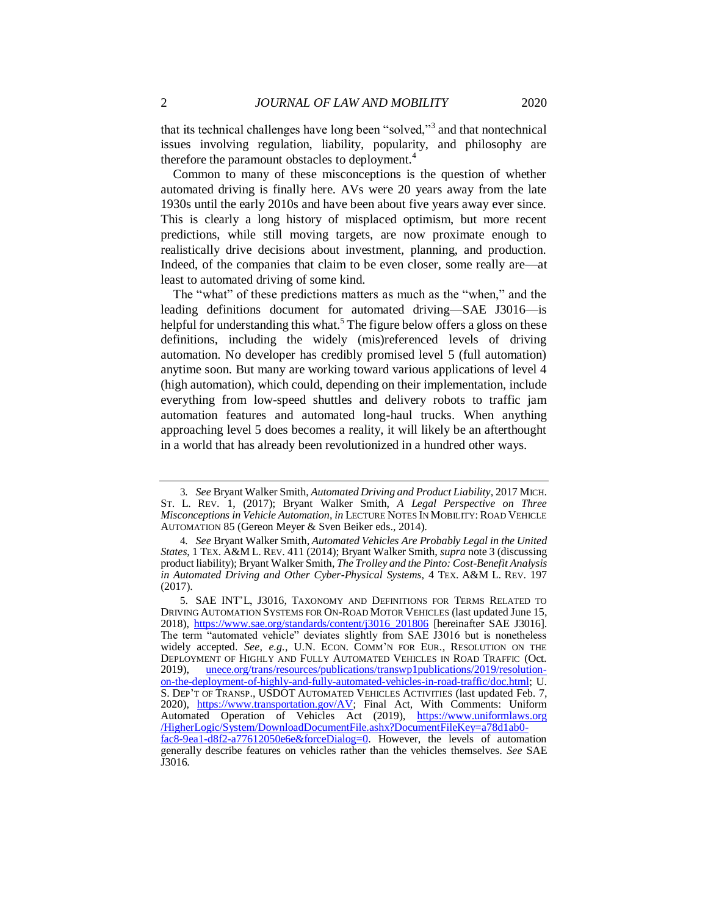that its technical challenges have long been "solved,"<sup>3</sup> and that nontechnical issues involving regulation, liability, popularity, and philosophy are therefore the paramount obstacles to deployment.<sup>4</sup>

Common to many of these misconceptions is the question of whether automated driving is finally here. AVs were 20 years away from the late 1930s until the early 2010s and have been about five years away ever since. This is clearly a long history of misplaced optimism, but more recent predictions, while still moving targets, are now proximate enough to realistically drive decisions about investment, planning, and production. Indeed, of the companies that claim to be even closer, some really are—at least to automated driving of some kind.

The "what" of these predictions matters as much as the "when," and the leading definitions document for automated driving—SAE J3016—is helpful for understanding this what.<sup>5</sup> The figure below offers a gloss on these definitions, including the widely (mis)referenced levels of driving automation. No developer has credibly promised level 5 (full automation) anytime soon. But many are working toward various applications of level 4 (high automation), which could, depending on their implementation, include everything from low-speed shuttles and delivery robots to traffic jam automation features and automated long-haul trucks. When anything approaching level 5 does becomes a reality, it will likely be an afterthought in a world that has already been revolutionized in a hundred other ways.

<sup>3</sup>*. See* Bryant Walker Smith, *Automated Driving and Product Liability*, 2017 MICH. ST. L. REV. 1, (2017); Bryant Walker Smith, *A Legal Perspective on Three Misconceptions in Vehicle Automation*, *in* LECTURE NOTES IN MOBILITY: ROAD VEHICLE AUTOMATION 85 (Gereon Meyer & Sven Beiker eds., 2014).

<sup>4</sup>*. See* Bryant Walker Smith, *Automated Vehicles Are Probably Legal in the United States*, 1 TEX. A&M L. REV. 411 (2014); Bryant Walker Smith, *supra* note 3 (discussing product liability); Bryant Walker Smith, *The Trolley and the Pinto: Cost-Benefit Analysis in Automated Driving and Other Cyber-Physical Systems*, 4 TEX. A&M L. REV. 197 (2017).

<sup>5</sup>. SAE INT'L, J3016, TAXONOMY AND DEFINITIONS FOR TERMS RELATED TO DRIVING AUTOMATION SYSTEMS FOR ON-ROAD MOTOR VEHICLES (last updated June 15, 2018), [https://www.sae.org/standards/content/j3016\\_201806](https://www.sae.org/standards/content/j3016_201806) [hereinafter SAE J3016]. The term "automated vehicle" deviates slightly from SAE J3016 but is nonetheless widely accepted. *See, e.g.*, U.N. ECON. COMM'N FOR EUR., RESOLUTION ON THE DEPLOYMENT OF HIGHLY AND FULLY AUTOMATED VEHICLES IN ROAD TRAFFIC (Oct. 2019), [unece.org/trans/resources/publications/transwp1publications/2019/resolution](http://www.unece.org/trans/resources/publications/transwp1publications/2019/resolution-on-the-deployment-of-highly-and-fully-automated-vehicles-in-road-traffic/doc.html)[on-the-deployment-of-highly-and-fully-automated-vehicles-in-road-traffic/doc.html;](http://www.unece.org/trans/resources/publications/transwp1publications/2019/resolution-on-the-deployment-of-highly-and-fully-automated-vehicles-in-road-traffic/doc.html) U. S. DEP'T OF TRANSP., USDOT AUTOMATED VEHICLES ACTIVITIES (last updated Feb. 7, 2020), [https://www.transportation.gov/AV;](https://www.transportation.gov/AV) Final Act, With Comments: Uniform Automated Operation of Vehicles Act (2019), [https://www.uniformlaws.org](https://www.uniformlaws.org/HigherLogic/System/DownloadDocumentFile.ashx?DocumentFileKey=a78d1ab0-fac8-9ea1-d8f2-a77612050e6e&forceDialog=0)  [/HigherLogic/System/DownloadDocumentFile.ashx?DocumentFileKey=a78d1ab0](https://www.uniformlaws.org/HigherLogic/System/DownloadDocumentFile.ashx?DocumentFileKey=a78d1ab0-fac8-9ea1-d8f2-a77612050e6e&forceDialog=0) [fac8-9ea1-d8f2-a77612050e6e&forceDialog=0.](https://www.uniformlaws.org/HigherLogic/System/DownloadDocumentFile.ashx?DocumentFileKey=a78d1ab0-fac8-9ea1-d8f2-a77612050e6e&forceDialog=0) However, the levels of automation generally describe features on vehicles rather than the vehicles themselves. *See* SAE J3016.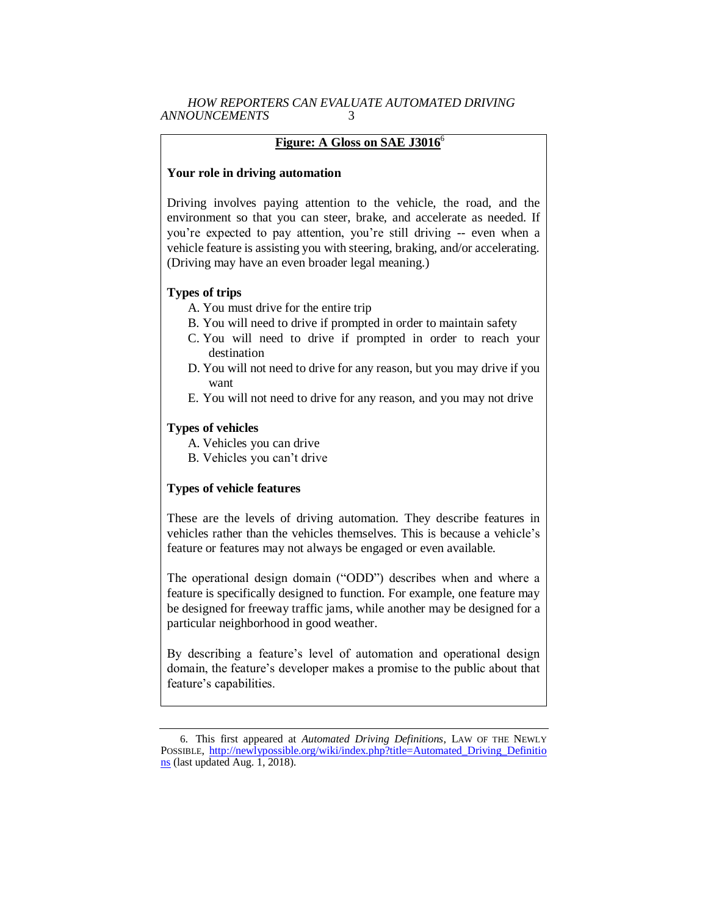## **Figure: A Gloss on SAE J3016**<sup>6</sup>

## **Your role in driving automation**

Driving involves paying attention to the vehicle, the road, and the environment so that you can steer, brake, and accelerate as needed. If you're expected to pay attention, you're still driving -- even when a vehicle feature is assisting you with steering, braking, and/or accelerating. (Driving may have an even broader legal meaning.)

## **Types of trips**

- A. You must drive for the entire trip
- B. You will need to drive if prompted in order to maintain safety
- C. You will need to drive if prompted in order to reach your destination
- D. You will not need to drive for any reason, but you may drive if you want
- E. You will not need to drive for any reason, and you may not drive

## **Types of vehicles**

- A. Vehicles you can drive
- B. Vehicles you can't drive

### **Types of vehicle features**

These are the levels of driving automation. They describe features in vehicles rather than the vehicles themselves. This is because a vehicle's feature or features may not always be engaged or even available.

The operational design domain ("ODD") describes when and where a feature is specifically designed to function. For example, one feature may be designed for freeway traffic jams, while another may be designed for a particular neighborhood in good weather.

By describing a feature's level of automation and operational design domain, the feature's developer makes a promise to the public about that feature's capabilities.

<sup>6</sup>. This first appeared at *Automated Driving Definitions*, LAW OF THE NEWLY POSSIBLE, [http://newlypossible.org/wiki/index.php?title=Automated\\_Driving\\_Definitio](http://newlypossible.org/wiki/index.php?title=Automated_Driving_Definitions)  [ns](http://newlypossible.org/wiki/index.php?title=Automated_Driving_Definitions) (last updated Aug. 1, 2018).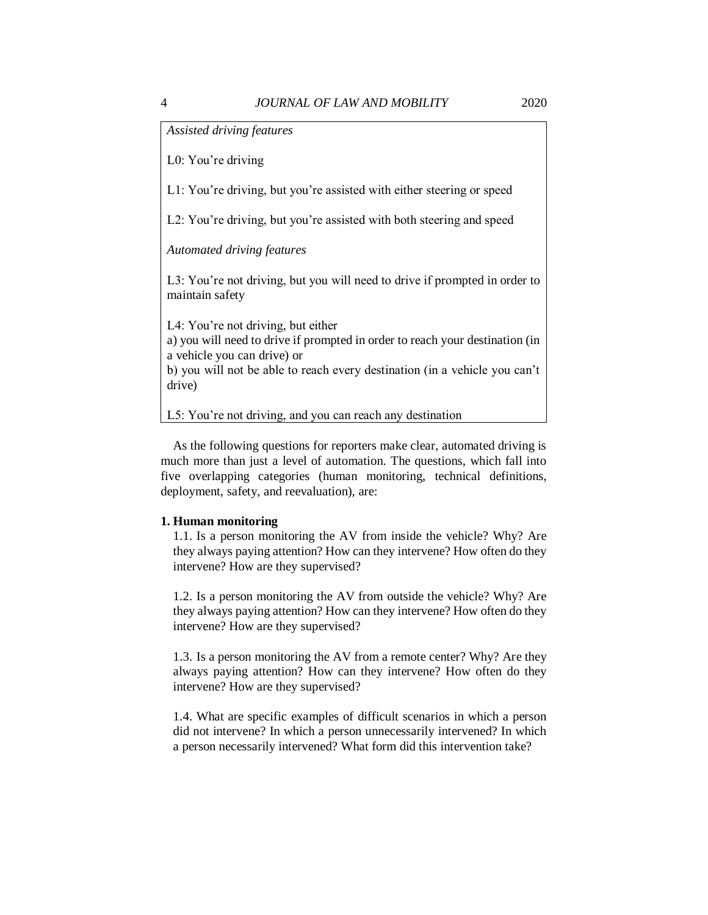*Assisted driving features*

L0: You're driving

L1: You're driving, but you're assisted with either steering or speed

L2: You're driving, but you're assisted with both steering and speed

*Automated driving features*

L3: You're not driving, but you will need to drive if prompted in order to maintain safety

L4: You're not driving, but either

a) you will need to drive if prompted in order to reach your destination (in a vehicle you can drive) or

b) you will not be able to reach every destination (in a vehicle you can't drive)

L5: You're not driving, and you can reach any destination

As the following questions for reporters make clear, automated driving is much more than just a level of automation. The questions, which fall into five overlapping categories (human monitoring, technical definitions, deployment, safety, and reevaluation), are:

#### **1. Human monitoring**

1.1. Is a person monitoring the AV from inside the vehicle? Why? Are they always paying attention? How can they intervene? How often do they intervene? How are they supervised?

1.2. Is a person monitoring the AV from outside the vehicle? Why? Are they always paying attention? How can they intervene? How often do they intervene? How are they supervised?

1.3. Is a person monitoring the AV from a remote center? Why? Are they always paying attention? How can they intervene? How often do they intervene? How are they supervised?

1.4. What are specific examples of difficult scenarios in which a person did not intervene? In which a person unnecessarily intervened? In which a person necessarily intervened? What form did this intervention take?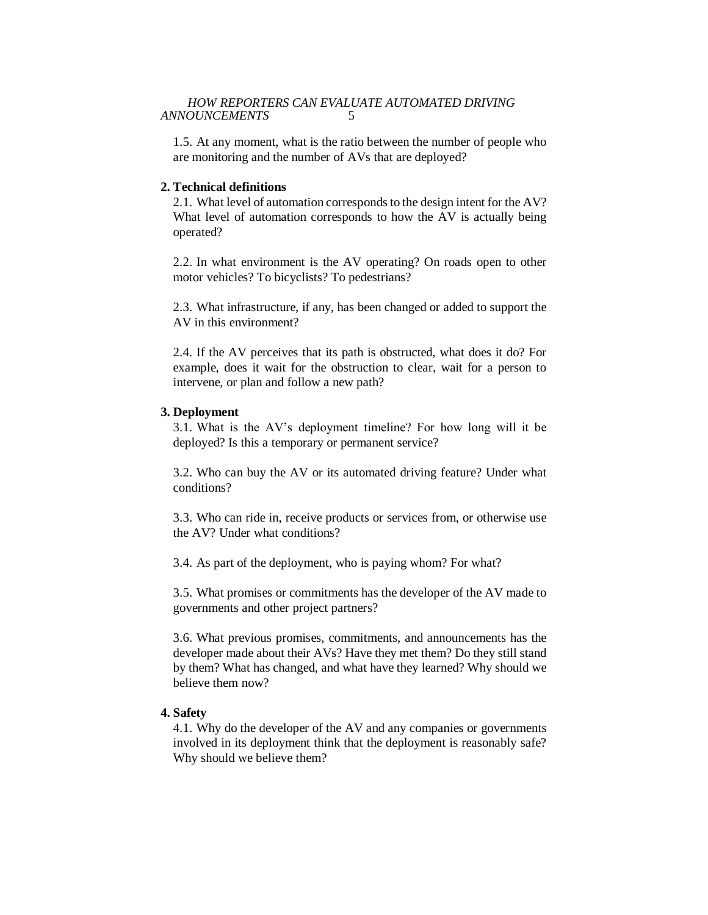1.5. At any moment, what is the ratio between the number of people who are monitoring and the number of AVs that are deployed?

## **2. Technical definitions**

2.1. What level of automation corresponds to the design intent for the AV? What level of automation corresponds to how the AV is actually being operated?

2.2. In what environment is the AV operating? On roads open to other motor vehicles? To bicyclists? To pedestrians?

2.3. What infrastructure, if any, has been changed or added to support the AV in this environment?

2.4. If the AV perceives that its path is obstructed, what does it do? For example, does it wait for the obstruction to clear, wait for a person to intervene, or plan and follow a new path?

#### **3. Deployment**

3.1. What is the AV's deployment timeline? For how long will it be deployed? Is this a temporary or permanent service?

3.2. Who can buy the AV or its automated driving feature? Under what conditions?

3.3. Who can ride in, receive products or services from, or otherwise use the AV? Under what conditions?

3.4. As part of the deployment, who is paying whom? For what?

3.5. What promises or commitments has the developer of the AV made to governments and other project partners?

3.6. What previous promises, commitments, and announcements has the developer made about their AVs? Have they met them? Do they still stand by them? What has changed, and what have they learned? Why should we believe them now?

## **4. Safety**

4.1. Why do the developer of the AV and any companies or governments involved in its deployment think that the deployment is reasonably safe? Why should we believe them?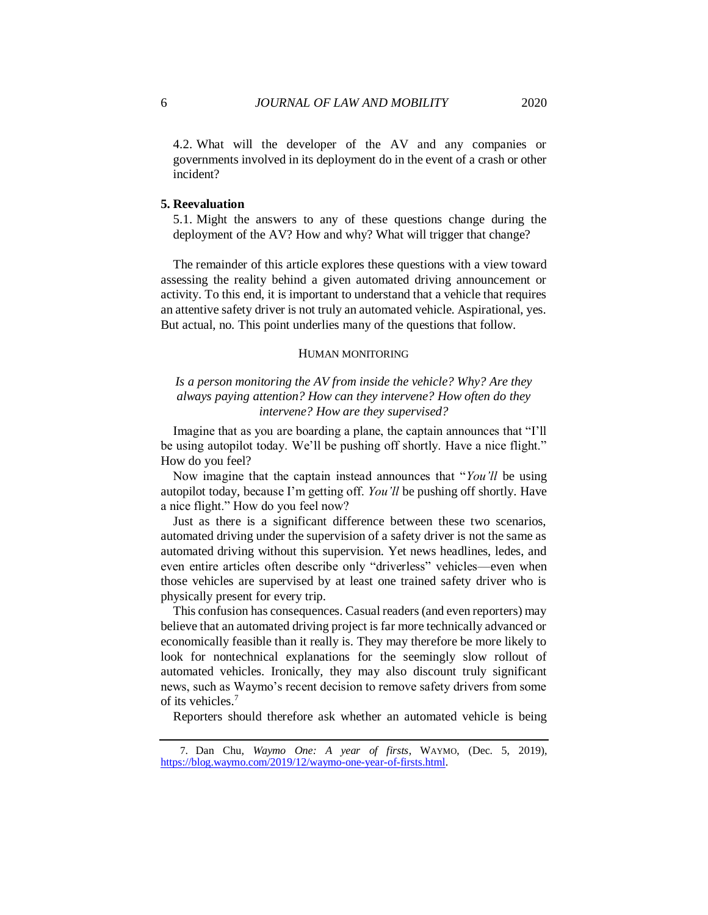4.2. What will the developer of the AV and any companies or governments involved in its deployment do in the event of a crash or other incident?

#### **5. Reevaluation**

5.1. Might the answers to any of these questions change during the deployment of the AV? How and why? What will trigger that change?

The remainder of this article explores these questions with a view toward assessing the reality behind a given automated driving announcement or activity. To this end, it is important to understand that a vehicle that requires an attentive safety driver is not truly an automated vehicle. Aspirational, yes. But actual, no. This point underlies many of the questions that follow.

#### HUMAN MONITORING

# *Is a person monitoring the AV from inside the vehicle? Why? Are they always paying attention? How can they intervene? How often do they intervene? How are they supervised?*

Imagine that as you are boarding a plane, the captain announces that "I'll be using autopilot today. We'll be pushing off shortly. Have a nice flight." How do you feel?

Now imagine that the captain instead announces that "*You'll* be using autopilot today, because I'm getting off. *You'll* be pushing off shortly. Have a nice flight." How do you feel now?

Just as there is a significant difference between these two scenarios, automated driving under the supervision of a safety driver is not the same as automated driving without this supervision. Yet news headlines, ledes, and even entire articles often describe only "driverless" vehicles—even when those vehicles are supervised by at least one trained safety driver who is physically present for every trip.

This confusion has consequences. Casual readers (and even reporters) may believe that an automated driving project is far more technically advanced or economically feasible than it really is. They may therefore be more likely to look for nontechnical explanations for the seemingly slow rollout of automated vehicles. Ironically, they may also discount truly significant news, such as Waymo's recent decision to remove safety drivers from some of its vehicles.<sup>7</sup>

Reporters should therefore ask whether an automated vehicle is being

<sup>7</sup>. Dan Chu, *Waymo One: A year of firsts*, WAYMO, (Dec. 5, 2019), [https://blog.waymo.com/2019/12/waymo-one-year-of-firsts.html.](https://blog.waymo.com/2019/12/waymo-one-year-of-firsts.html)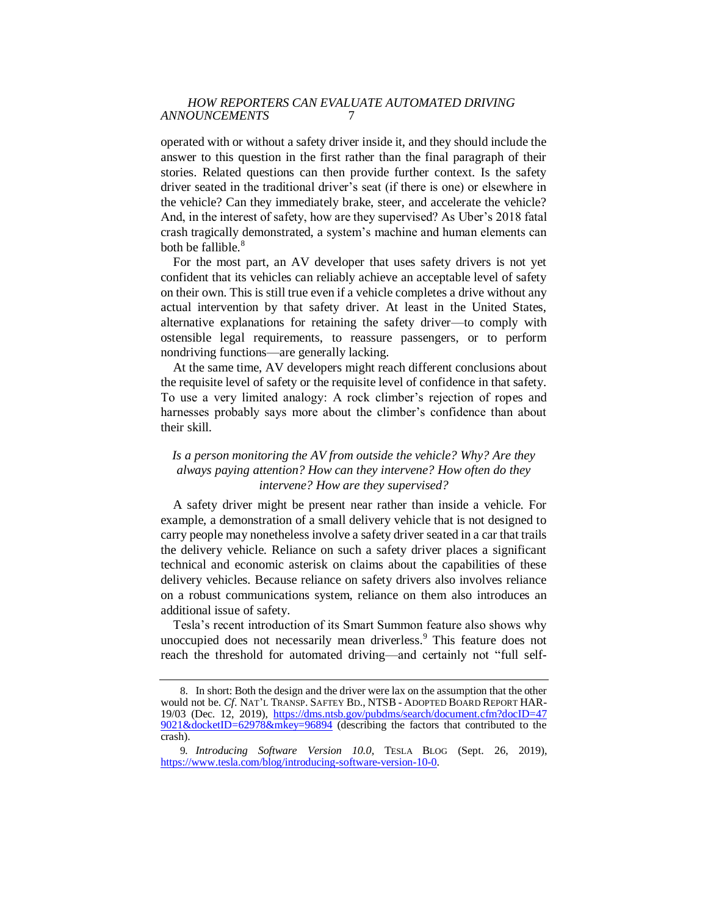operated with or without a safety driver inside it, and they should include the answer to this question in the first rather than the final paragraph of their stories. Related questions can then provide further context. Is the safety driver seated in the traditional driver's seat (if there is one) or elsewhere in the vehicle? Can they immediately brake, steer, and accelerate the vehicle? And, in the interest of safety, how are they supervised? As Uber's 2018 fatal crash tragically demonstrated, a system's machine and human elements can both be fallible.<sup>8</sup>

For the most part, an AV developer that uses safety drivers is not yet confident that its vehicles can reliably achieve an acceptable level of safety on their own. This is still true even if a vehicle completes a drive without any actual intervention by that safety driver. At least in the United States, alternative explanations for retaining the safety driver—to comply with ostensible legal requirements, to reassure passengers, or to perform nondriving functions—are generally lacking.

At the same time, AV developers might reach different conclusions about the requisite level of safety or the requisite level of confidence in that safety. To use a very limited analogy: A rock climber's rejection of ropes and harnesses probably says more about the climber's confidence than about their skill.

## *Is a person monitoring the AV from outside the vehicle? Why? Are they always paying attention? How can they intervene? How often do they intervene? How are they supervised?*

A safety driver might be present near rather than inside a vehicle. For example, a demonstration of a small delivery vehicle that is not designed to carry people may nonetheless involve a safety driver seated in a car that trails the delivery vehicle. Reliance on such a safety driver places a significant technical and economic asterisk on claims about the capabilities of these delivery vehicles. Because reliance on safety drivers also involves reliance on a robust communications system, reliance on them also introduces an additional issue of safety.

Tesla's recent introduction of its Smart Summon feature also shows why unoccupied does not necessarily mean driverless.<sup>9</sup> This feature does not reach the threshold for automated driving—and certainly not "full self-

<sup>8</sup>. In short: Both the design and the driver were lax on the assumption that the other would not be. *Cf*. NAT'L TRANSP. SAFTEY BD., NTSB - ADOPTED BOARD REPORT HAR-19/03 (Dec. 12, 2019), [https://dms.ntsb.gov/pubdms/search/document.cfm?docID=47](https://dms.ntsb.gov/pubdms/search/document.cfm?docID=479021&docketID=62978&mkey=96894)  [9021&docketID=62978&mkey=96894](https://dms.ntsb.gov/pubdms/search/document.cfm?docID=479021&docketID=62978&mkey=96894) (describing the factors that contributed to the crash).

<sup>9</sup>*. Introducing Software Version 10.0*, TESLA BLOG (Sept. 26, 2019), [https://www.tesla.com/blog/introducing-software-version-10-0.](https://www.tesla.com/blog/introducing-software-version-10-0)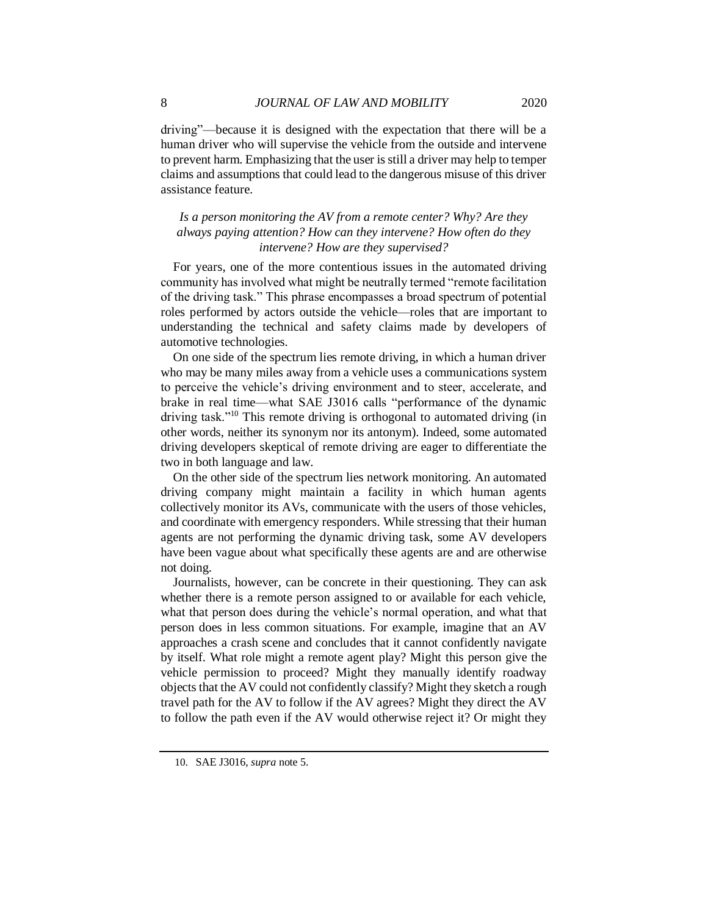driving"—because it is designed with the expectation that there will be a human driver who will supervise the vehicle from the outside and intervene to prevent harm. Emphasizing that the user is still a driver may help to temper claims and assumptions that could lead to the dangerous misuse of this driver assistance feature.

# *Is a person monitoring the AV from a remote center? Why? Are they always paying attention? How can they intervene? How often do they intervene? How are they supervised?*

For years, one of the more contentious issues in the automated driving community has involved what might be neutrally termed "remote facilitation of the driving task." This phrase encompasses a broad spectrum of potential roles performed by actors outside the vehicle—roles that are important to understanding the technical and safety claims made by developers of automotive technologies.

On one side of the spectrum lies remote driving, in which a human driver who may be many miles away from a vehicle uses a communications system to perceive the vehicle's driving environment and to steer, accelerate, and brake in real time—what SAE J3016 calls "performance of the dynamic driving task."<sup>10</sup> This remote driving is orthogonal to automated driving (in other words, neither its synonym nor its antonym). Indeed, some automated driving developers skeptical of remote driving are eager to differentiate the two in both language and law.

On the other side of the spectrum lies network monitoring. An automated driving company might maintain a facility in which human agents collectively monitor its AVs, communicate with the users of those vehicles, and coordinate with emergency responders. While stressing that their human agents are not performing the dynamic driving task, some AV developers have been vague about what specifically these agents are and are otherwise not doing.

Journalists, however, can be concrete in their questioning. They can ask whether there is a remote person assigned to or available for each vehicle, what that person does during the vehicle's normal operation, and what that person does in less common situations. For example, imagine that an AV approaches a crash scene and concludes that it cannot confidently navigate by itself. What role might a remote agent play? Might this person give the vehicle permission to proceed? Might they manually identify roadway objects that the AV could not confidently classify? Might they sketch a rough travel path for the AV to follow if the AV agrees? Might they direct the AV to follow the path even if the AV would otherwise reject it? Or might they

<sup>10</sup>. SAE J3016, *supra* note 5.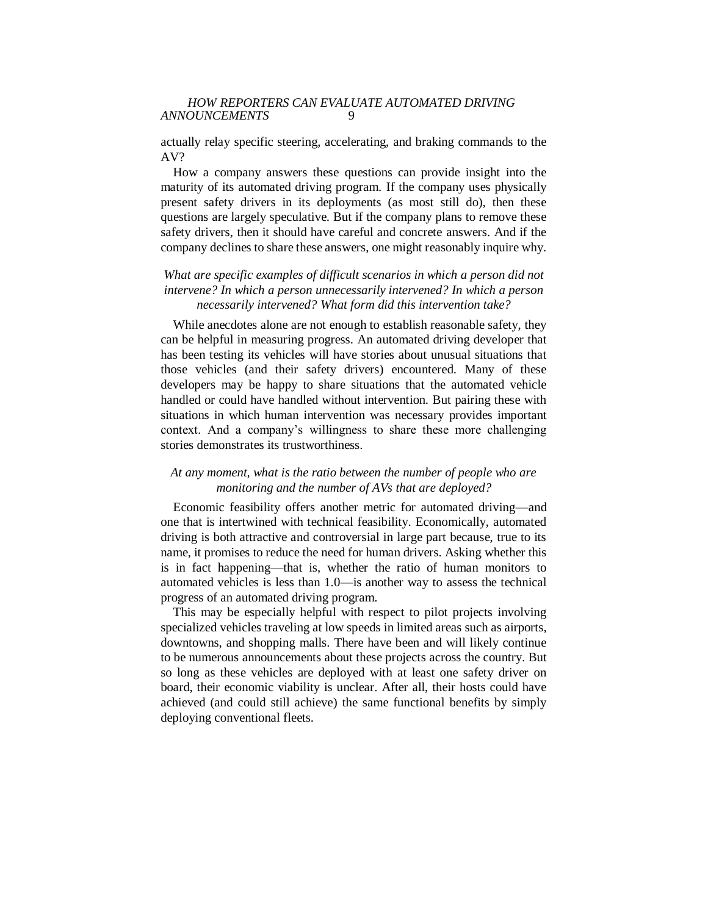actually relay specific steering, accelerating, and braking commands to the AV?

How a company answers these questions can provide insight into the maturity of its automated driving program. If the company uses physically present safety drivers in its deployments (as most still do), then these questions are largely speculative. But if the company plans to remove these safety drivers, then it should have careful and concrete answers. And if the company declines to share these answers, one might reasonably inquire why.

# *What are specific examples of difficult scenarios in which a person did not intervene? In which a person unnecessarily intervened? In which a person necessarily intervened? What form did this intervention take?*

While anecdotes alone are not enough to establish reasonable safety, they can be helpful in measuring progress. An automated driving developer that has been testing its vehicles will have stories about unusual situations that those vehicles (and their safety drivers) encountered. Many of these developers may be happy to share situations that the automated vehicle handled or could have handled without intervention. But pairing these with situations in which human intervention was necessary provides important context. And a company's willingness to share these more challenging stories demonstrates its trustworthiness.

# *At any moment, what is the ratio between the number of people who are monitoring and the number of AVs that are deployed?*

Economic feasibility offers another metric for automated driving—and one that is intertwined with technical feasibility. Economically, automated driving is both attractive and controversial in large part because, true to its name, it promises to reduce the need for human drivers. Asking whether this is in fact happening—that is, whether the ratio of human monitors to automated vehicles is less than 1.0—is another way to assess the technical progress of an automated driving program.

This may be especially helpful with respect to pilot projects involving specialized vehicles traveling at low speeds in limited areas such as airports, downtowns, and shopping malls. There have been and will likely continue to be numerous announcements about these projects across the country. But so long as these vehicles are deployed with at least one safety driver on board, their economic viability is unclear. After all, their hosts could have achieved (and could still achieve) the same functional benefits by simply deploying conventional fleets.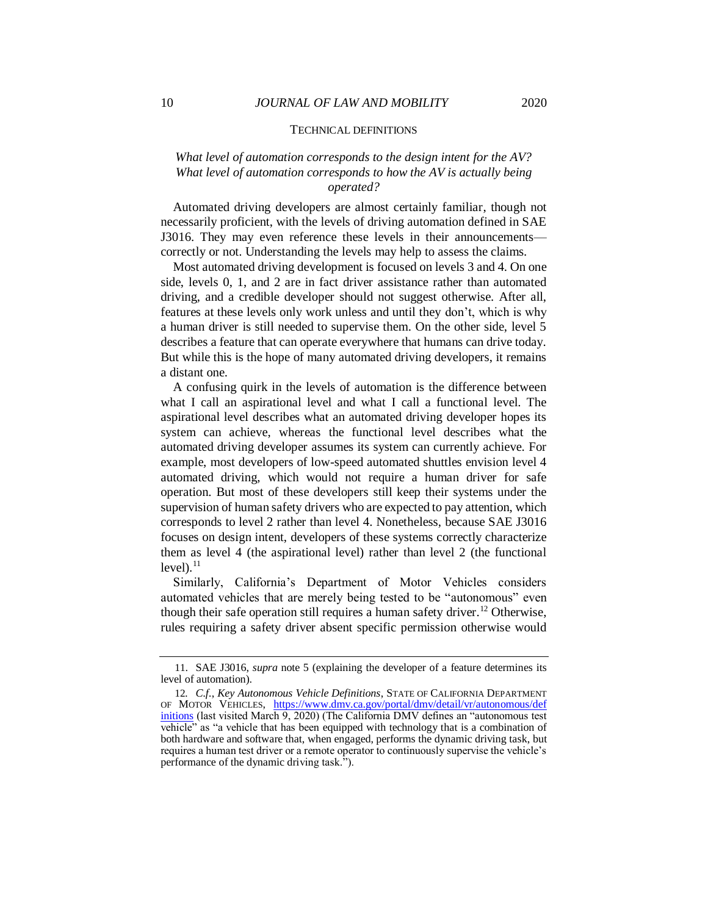#### TECHNICAL DEFINITIONS

## *What level of automation corresponds to the design intent for the AV? What level of automation corresponds to how the AV is actually being operated?*

Automated driving developers are almost certainly familiar, though not necessarily proficient, with the levels of driving automation defined in SAE J3016. They may even reference these levels in their announcements correctly or not. Understanding the levels may help to assess the claims.

Most automated driving development is focused on levels 3 and 4. On one side, levels 0, 1, and 2 are in fact driver assistance rather than automated driving, and a credible developer should not suggest otherwise. After all, features at these levels only work unless and until they don't, which is why a human driver is still needed to supervise them. On the other side, level 5 describes a feature that can operate everywhere that humans can drive today. But while this is the hope of many automated driving developers, it remains a distant one.

A confusing quirk in the levels of automation is the difference between what I call an aspirational level and what I call a functional level. The aspirational level describes what an automated driving developer hopes its system can achieve, whereas the functional level describes what the automated driving developer assumes its system can currently achieve. For example, most developers of low-speed automated shuttles envision level 4 automated driving, which would not require a human driver for safe operation. But most of these developers still keep their systems under the supervision of human safety drivers who are expected to pay attention, which corresponds to level 2 rather than level 4. Nonetheless, because SAE J3016 focuses on design intent, developers of these systems correctly characterize them as level 4 (the aspirational level) rather than level 2 (the functional  $level$ ). $^{11}$ 

Similarly, California's Department of Motor Vehicles considers automated vehicles that are merely being tested to be "autonomous" even though their safe operation still requires a human safety driver.<sup>12</sup> Otherwise, rules requiring a safety driver absent specific permission otherwise would

<sup>11</sup>. SAE J3016, *supra* note 5 (explaining the developer of a feature determines its level of automation).

<sup>12</sup>*. C.f.*, *Key Autonomous Vehicle Definitions*, STATE OF CALIFORNIA DEPARTMENT OF MOTOR VEHICLES, [https://www.dmv.ca.gov/portal/dmv/detail/vr/autonomous/def](https://www.dmv.ca.gov/portal/dmv/detail/vr/autonomous/definitions)  [initions](https://www.dmv.ca.gov/portal/dmv/detail/vr/autonomous/definitions) (last visited March 9, 2020) (The California DMV defines an "autonomous test vehicle" as "a vehicle that has been equipped with technology that is a combination of both hardware and software that, when engaged, performs the dynamic driving task, but requires a human test driver or a remote operator to continuously supervise the vehicle's performance of the dynamic driving task.").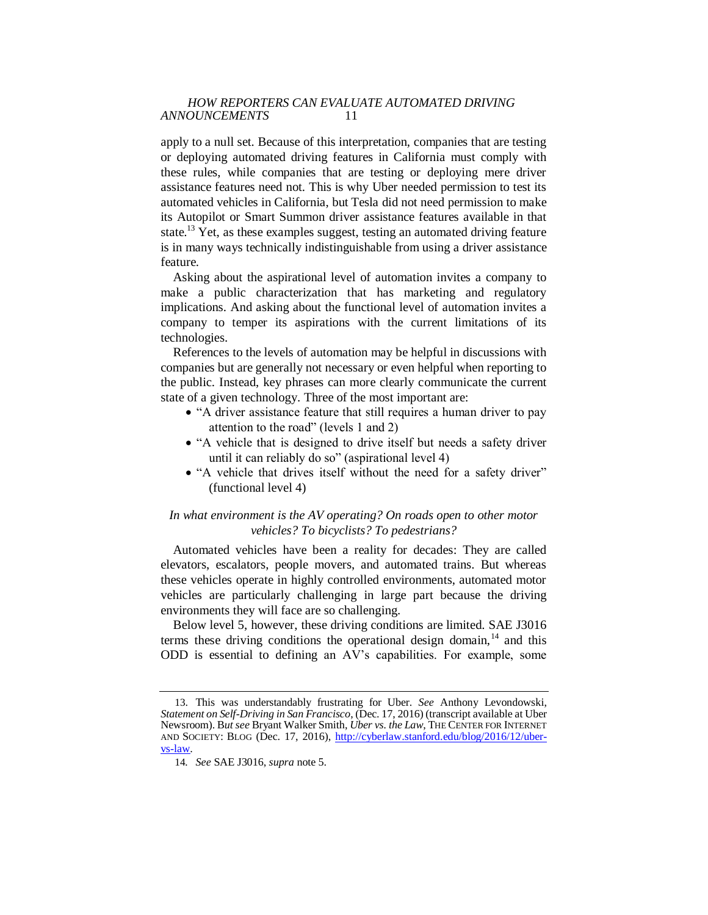apply to a null set. Because of this interpretation, companies that are testing or deploying automated driving features in California must comply with these rules, while companies that are testing or deploying mere driver assistance features need not. This is why Uber needed permission to test its automated vehicles in California, but Tesla did not need permission to make its Autopilot or Smart Summon driver assistance features available in that state.<sup>13</sup> Yet, as these examples suggest, testing an automated driving feature is in many ways technically indistinguishable from using a driver assistance feature.

Asking about the aspirational level of automation invites a company to make a public characterization that has marketing and regulatory implications. And asking about the functional level of automation invites a company to temper its aspirations with the current limitations of its technologies.

References to the levels of automation may be helpful in discussions with companies but are generally not necessary or even helpful when reporting to the public. Instead, key phrases can more clearly communicate the current state of a given technology. Three of the most important are:

- "A driver assistance feature that still requires a human driver to pay attention to the road" (levels 1 and 2)
- "A vehicle that is designed to drive itself but needs a safety driver until it can reliably do so" (aspirational level 4)
- "A vehicle that drives itself without the need for a safety driver" (functional level 4)

## *In what environment is the AV operating? On roads open to other motor vehicles? To bicyclists? To pedestrians?*

Automated vehicles have been a reality for decades: They are called elevators, escalators, people movers, and automated trains. But whereas these vehicles operate in highly controlled environments, automated motor vehicles are particularly challenging in large part because the driving environments they will face are so challenging.

Below level 5, however, these driving conditions are limited. SAE J3016 terms these driving conditions the operational design domain, $14$  and this ODD is essential to defining an AV's capabilities. For example, some

<sup>13</sup>. This was understandably frustrating for Uber. *See* Anthony Levondowski, *Statement on Self-Driving in San Francisco*, (Dec. 17, 2016) (transcript available at Uber Newsroom). B*ut see* Bryant Walker Smith, *Uber vs. the Law*, THE CENTER FOR INTERNET AND SOCIETY: BLOG (Dec. 17, 2016), [http://cyberlaw.stanford.edu/blog/2016/12/uber](http://cyberlaw.stanford.edu/blog/2016/12/uber-vs-law)[vs-law.](http://cyberlaw.stanford.edu/blog/2016/12/uber-vs-law)

<sup>14</sup>*. See* SAE J3016, *supra* note 5.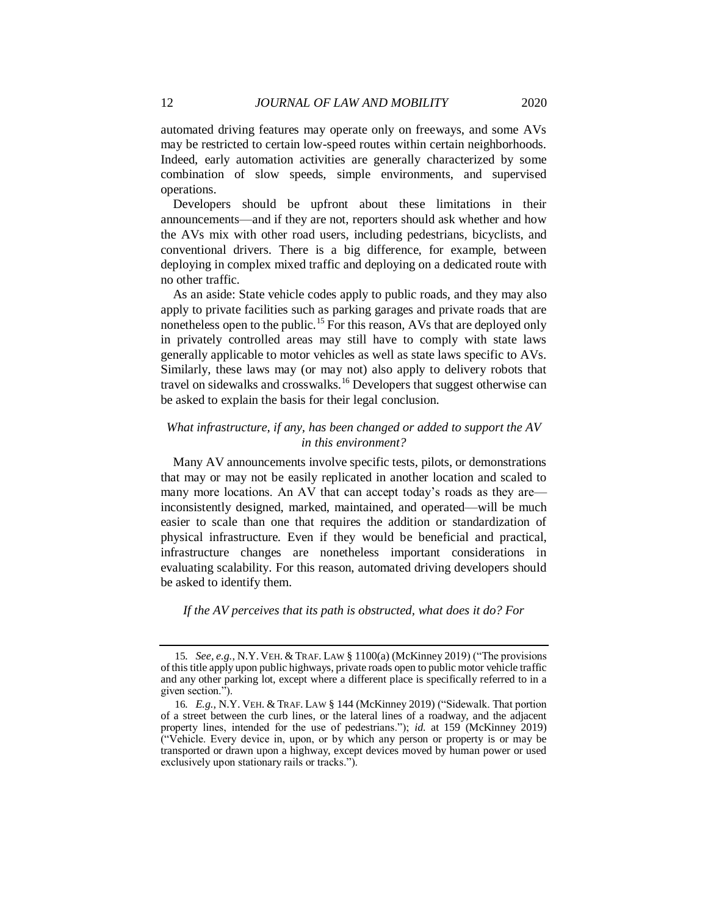automated driving features may operate only on freeways, and some AVs may be restricted to certain low-speed routes within certain neighborhoods. Indeed, early automation activities are generally characterized by some combination of slow speeds, simple environments, and supervised operations.

Developers should be upfront about these limitations in their announcements—and if they are not, reporters should ask whether and how the AVs mix with other road users, including pedestrians, bicyclists, and conventional drivers. There is a big difference, for example, between deploying in complex mixed traffic and deploying on a dedicated route with no other traffic.

As an aside: State vehicle codes apply to public roads, and they may also apply to private facilities such as parking garages and private roads that are nonetheless open to the public.<sup>15</sup> For this reason, AVs that are deployed only in privately controlled areas may still have to comply with state laws generally applicable to motor vehicles as well as state laws specific to AVs. Similarly, these laws may (or may not) also apply to delivery robots that travel on sidewalks and crosswalks.<sup>16</sup> Developers that suggest otherwise can be asked to explain the basis for their legal conclusion.

## *What infrastructure, if any, has been changed or added to support the AV in this environment?*

Many AV announcements involve specific tests, pilots, or demonstrations that may or may not be easily replicated in another location and scaled to many more locations. An AV that can accept today's roads as they are inconsistently designed, marked, maintained, and operated—will be much easier to scale than one that requires the addition or standardization of physical infrastructure. Even if they would be beneficial and practical, infrastructure changes are nonetheless important considerations in evaluating scalability. For this reason, automated driving developers should be asked to identify them.

*If the AV perceives that its path is obstructed, what does it do? For* 

<sup>15</sup>*. See, e.g.*, N.Y. VEH. & TRAF. LAW § 1100(a) (McKinney 2019) ("The provisions of this title apply upon public highways, private roads open to public motor vehicle traffic and any other parking lot, except where a different place is specifically referred to in a given section.").

<sup>16</sup>*. E.g.*, N.Y. VEH. & TRAF. LAW § 144 (McKinney 2019) ("Sidewalk. That portion of a street between the curb lines, or the lateral lines of a roadway, and the adjacent property lines, intended for the use of pedestrians."); *id.* at 159 (McKinney 2019) ("Vehicle. Every device in, upon, or by which any person or property is or may be transported or drawn upon a highway, except devices moved by human power or used exclusively upon stationary rails or tracks.").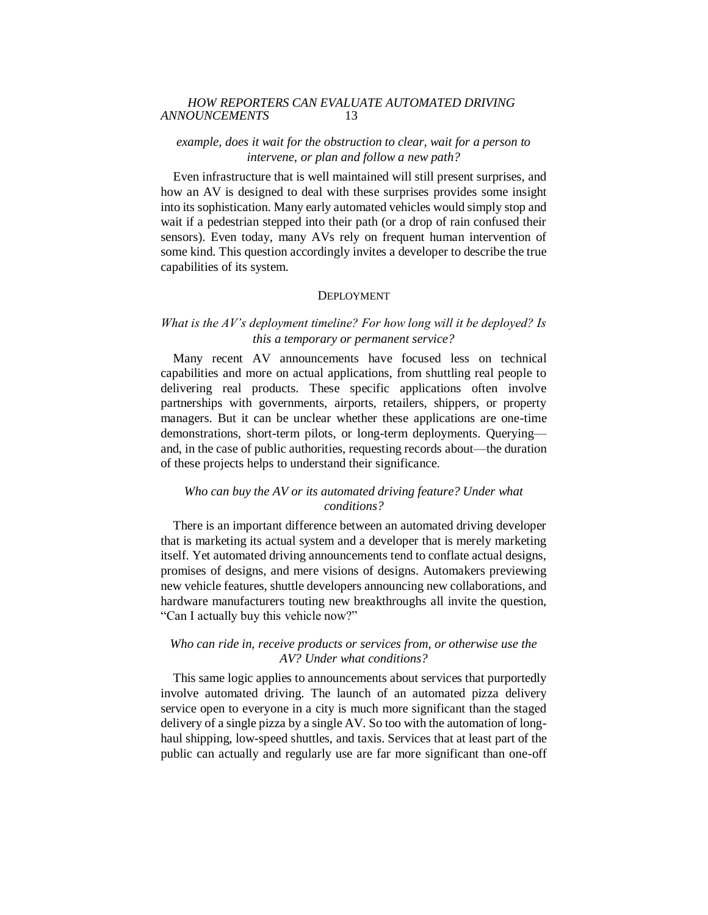## *example, does it wait for the obstruction to clear, wait for a person to intervene, or plan and follow a new path?*

Even infrastructure that is well maintained will still present surprises, and how an AV is designed to deal with these surprises provides some insight into its sophistication. Many early automated vehicles would simply stop and wait if a pedestrian stepped into their path (or a drop of rain confused their sensors). Even today, many AVs rely on frequent human intervention of some kind. This question accordingly invites a developer to describe the true capabilities of its system.

#### **DEPLOYMENT**

# *What is the AV's deployment timeline? For how long will it be deployed? Is this a temporary or permanent service?*

Many recent AV announcements have focused less on technical capabilities and more on actual applications, from shuttling real people to delivering real products. These specific applications often involve partnerships with governments, airports, retailers, shippers, or property managers. But it can be unclear whether these applications are one-time demonstrations, short-term pilots, or long-term deployments. Querying and, in the case of public authorities, requesting records about—the duration of these projects helps to understand their significance.

## *Who can buy the AV or its automated driving feature? Under what conditions?*

There is an important difference between an automated driving developer that is marketing its actual system and a developer that is merely marketing itself. Yet automated driving announcements tend to conflate actual designs, promises of designs, and mere visions of designs. Automakers previewing new vehicle features, shuttle developers announcing new collaborations, and hardware manufacturers touting new breakthroughs all invite the question, "Can I actually buy this vehicle now?"

## *Who can ride in, receive products or services from, or otherwise use the AV? Under what conditions?*

This same logic applies to announcements about services that purportedly involve automated driving. The launch of an automated pizza delivery service open to everyone in a city is much more significant than the staged delivery of a single pizza by a single AV. So too with the automation of longhaul shipping, low-speed shuttles, and taxis. Services that at least part of the public can actually and regularly use are far more significant than one-off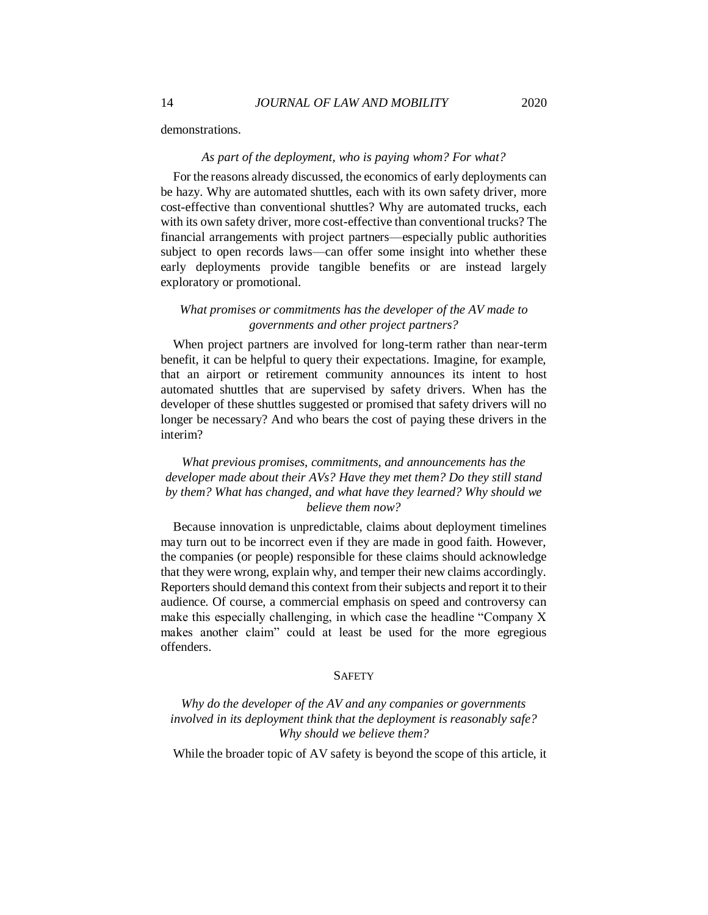demonstrations.

#### *As part of the deployment, who is paying whom? For what?*

For the reasons already discussed, the economics of early deployments can be hazy. Why are automated shuttles, each with its own safety driver, more cost-effective than conventional shuttles? Why are automated trucks, each with its own safety driver, more cost-effective than conventional trucks? The financial arrangements with project partners—especially public authorities subject to open records laws—can offer some insight into whether these early deployments provide tangible benefits or are instead largely exploratory or promotional.

## *What promises or commitments has the developer of the AV made to governments and other project partners?*

When project partners are involved for long-term rather than near-term benefit, it can be helpful to query their expectations. Imagine, for example, that an airport or retirement community announces its intent to host automated shuttles that are supervised by safety drivers. When has the developer of these shuttles suggested or promised that safety drivers will no longer be necessary? And who bears the cost of paying these drivers in the interim?

# *What previous promises, commitments, and announcements has the developer made about their AVs? Have they met them? Do they still stand by them? What has changed, and what have they learned? Why should we believe them now?*

Because innovation is unpredictable, claims about deployment timelines may turn out to be incorrect even if they are made in good faith. However, the companies (or people) responsible for these claims should acknowledge that they were wrong, explain why, and temper their new claims accordingly. Reporters should demand this context from their subjects and report it to their audience. Of course, a commercial emphasis on speed and controversy can make this especially challenging, in which case the headline "Company X makes another claim" could at least be used for the more egregious offenders.

#### **SAFETY**

*Why do the developer of the AV and any companies or governments involved in its deployment think that the deployment is reasonably safe? Why should we believe them?*

While the broader topic of AV safety is beyond the scope of this article, it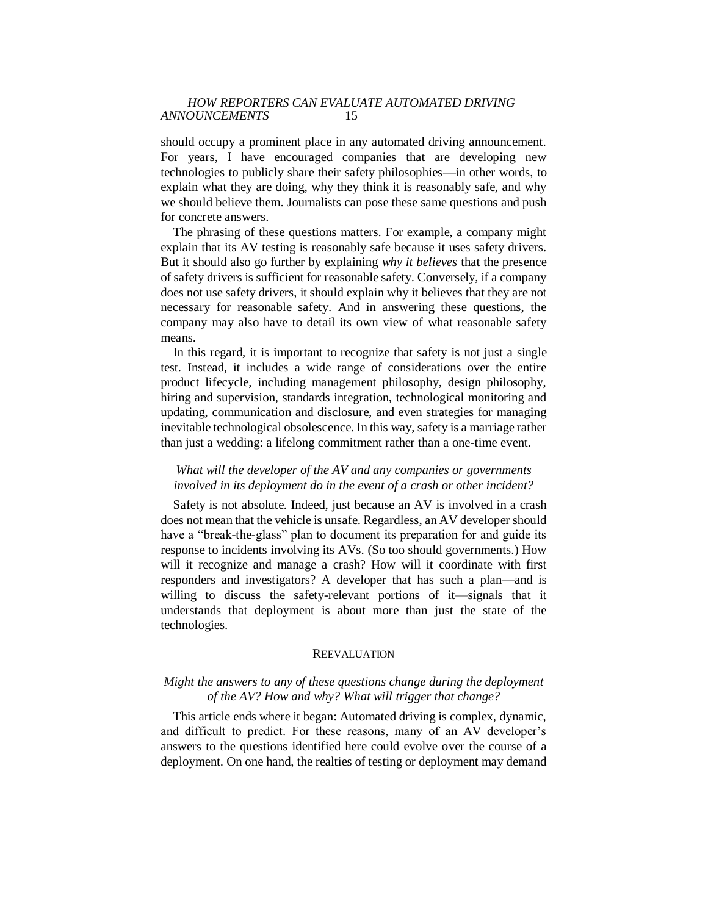should occupy a prominent place in any automated driving announcement. For years, I have encouraged companies that are developing new technologies to publicly share their safety philosophies—in other words, to explain what they are doing, why they think it is reasonably safe, and why we should believe them. Journalists can pose these same questions and push for concrete answers.

The phrasing of these questions matters. For example, a company might explain that its AV testing is reasonably safe because it uses safety drivers. But it should also go further by explaining *why it believes* that the presence of safety drivers is sufficient for reasonable safety. Conversely, if a company does not use safety drivers, it should explain why it believes that they are not necessary for reasonable safety. And in answering these questions, the company may also have to detail its own view of what reasonable safety means.

In this regard, it is important to recognize that safety is not just a single test. Instead, it includes a wide range of considerations over the entire product lifecycle, including management philosophy, design philosophy, hiring and supervision, standards integration, technological monitoring and updating, communication and disclosure, and even strategies for managing inevitable technological obsolescence. In this way, safety is a marriage rather than just a wedding: a lifelong commitment rather than a one-time event.

## *What will the developer of the AV and any companies or governments involved in its deployment do in the event of a crash or other incident?*

Safety is not absolute. Indeed, just because an AV is involved in a crash does not mean that the vehicle is unsafe. Regardless, an AV developer should have a "break-the-glass" plan to document its preparation for and guide its response to incidents involving its AVs. (So too should governments.) How will it recognize and manage a crash? How will it coordinate with first responders and investigators? A developer that has such a plan—and is willing to discuss the safety-relevant portions of it—signals that it understands that deployment is about more than just the state of the technologies.

#### **REEVALUATION**

## *Might the answers to any of these questions change during the deployment of the AV? How and why? What will trigger that change?*

This article ends where it began: Automated driving is complex, dynamic, and difficult to predict. For these reasons, many of an AV developer's answers to the questions identified here could evolve over the course of a deployment. On one hand, the realties of testing or deployment may demand